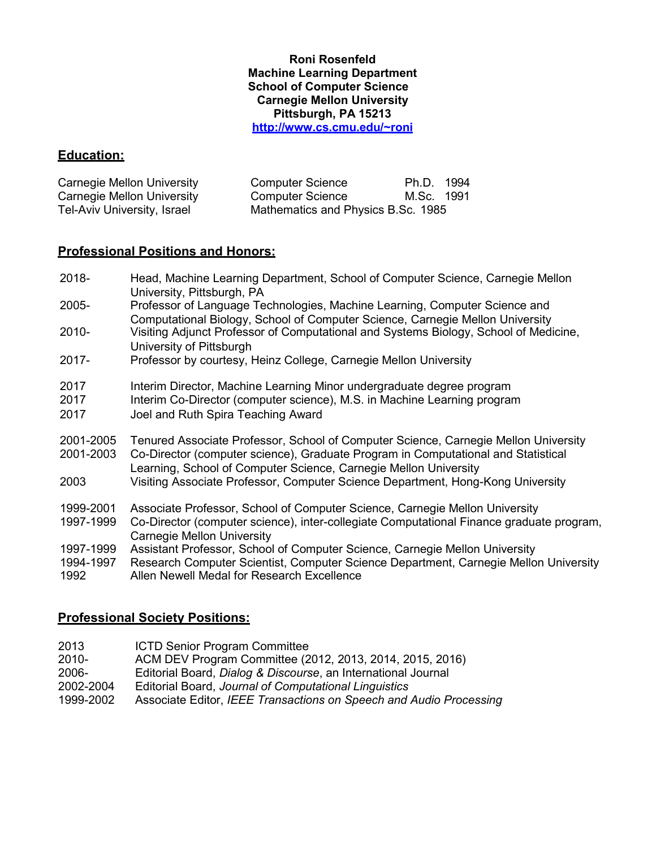#### **Roni Rosenfeld Machine Learning Department School of Computer Science Carnegie Mellon University Pittsburgh, PA 15213 [http://www.cs.cmu.edu/~roni](http://www.cs.cmu.edu/%7Eroni)**

#### **Education:**

| Carnegie Mellon University  | <b>Computer Science</b>            | Ph.D. 1994 |  |
|-----------------------------|------------------------------------|------------|--|
| Carnegie Mellon University  | <b>Computer Science</b>            | M.Sc. 1991 |  |
| Tel-Aviv University, Israel | Mathematics and Physics B.Sc. 1985 |            |  |

#### **Professional Positions and Honors:**

- 2018- Head, Machine Learning Department, School of Computer Science, Carnegie Mellon University, Pittsburgh, PA
- 2005- Professor of Language Technologies, Machine Learning, Computer Science and Computational Biology, School of Computer Science, Carnegie Mellon University
- 2010- Visiting Adjunct Professor of Computational and Systems Biology, School of Medicine, University of Pittsburgh
- 2017- Professor by courtesy, Heinz College, Carnegie Mellon University
- 2017 Interim Director, Machine Learning Minor undergraduate degree program
- 2017 Interim Co-Director (computer science), M.S. in Machine Learning program
- 2017 Joel and Ruth Spira Teaching Award
- 2001-2005 Tenured Associate Professor, School of Computer Science, Carnegie Mellon University

2001-2003 Co-Director (computer science), Graduate Program in Computational and Statistical

- Learning, School of Computer Science, Carnegie Mellon University
- 2003 Visiting Associate Professor, Computer Science Department, Hong-Kong University
- 1999-2001 Associate Professor, School of Computer Science, Carnegie Mellon University
- 1997-1999 Co-Director (computer science), inter-collegiate Computational Finance graduate program, Carnegie Mellon University
- 1997-1999 Assistant Professor, School of Computer Science, Carnegie Mellon University
- 1994-1997 Research Computer Scientist, Computer Science Department, Carnegie Mellon University
- 1992 Allen Newell Medal for Research Excellence

#### **Professional Society Positions:**

- 2013 ICTD Senior Program Committee<br>2010- ACM DEV Program Committee (2
- 2010- ACM DEV Program Committee (2012, 2013, 2014, 2015, 2016)
- 2006- Editorial Board, *Dialog & Discourse*, an International Journal
- 2002-2004 Editorial Board, *Journal of Computational Linguistics*
- 1999-2002 Associate Editor, *IEEE Transactions on Speech and Audio Processing*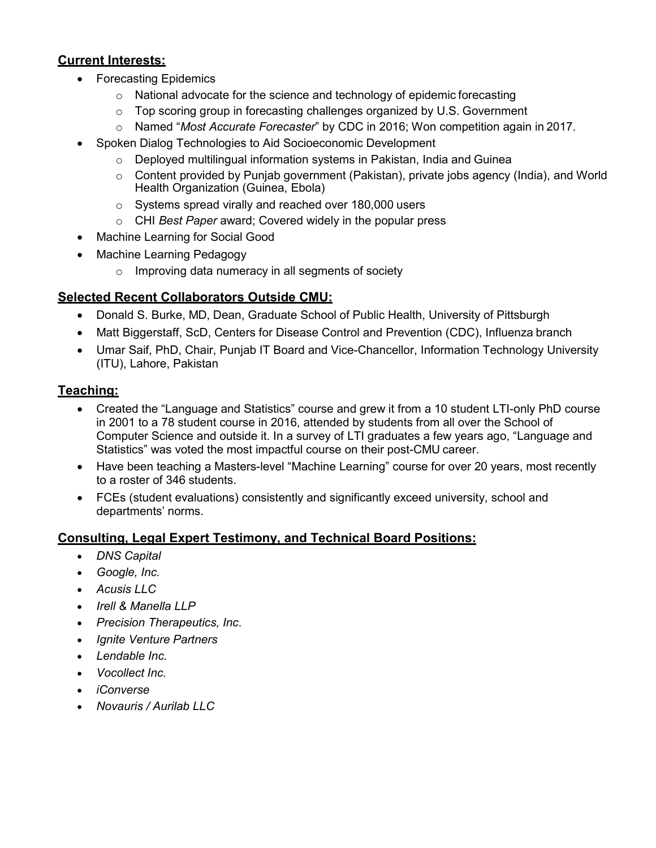### **Current Interests:**

- Forecasting Epidemics
	- o National advocate for the science and technology of epidemic forecasting
	- $\circ$  Top scoring group in forecasting challenges organized by U.S. Government
	- o Named "*Most Accurate Forecaster*" by CDC in 2016; Won competition again in 2017.
- Spoken Dialog Technologies to Aid Socioeconomic Development
	- o Deployed multilingual information systems in Pakistan, India and Guinea
	- $\circ$  Content provided by Punjab government (Pakistan), private jobs agency (India), and World Health Organization (Guinea, Ebola)
	- o Systems spread virally and reached over 180,000 users
	- o CHI *Best Paper* award; Covered widely in the popular press
- Machine Learning for Social Good
- Machine Learning Pedagogy
	- $\circ$  Improving data numeracy in all segments of society

## **Selected Recent Collaborators Outside CMU:**

- Donald S. Burke, MD, Dean, Graduate School of Public Health, University of Pittsburgh
- Matt Biggerstaff, ScD, Centers for Disease Control and Prevention (CDC), Influenza branch
- Umar Saif, PhD, Chair, Punjab IT Board and Vice-Chancellor, Information Technology University (ITU), Lahore, Pakistan

#### **Teaching:**

- Created the "Language and Statistics" course and grew it from a 10 student LTI-only PhD course in 2001 to a 78 student course in 2016, attended by students from all over the School of Computer Science and outside it. In a survey of LTI graduates a few years ago, "Language and Statistics" was voted the most impactful course on their post-CMU career.
- Have been teaching a Masters-level "Machine Learning" course for over 20 years, most recently to a roster of 346 students.
- FCEs (student evaluations) consistently and significantly exceed university, school and departments' norms.

# **Consulting, Legal Expert Testimony, and Technical Board Positions:**

- *DNS Capital*
- *Google, Inc.*
- *Acusis LLC*
- *Irell & Manella LLP*
- *Precision Therapeutics, Inc*.
- *Ignite Venture Partners*
- *Lendable Inc.*
- *Vocollect Inc.*
- *iConverse*
- *Novauris / Aurilab LLC*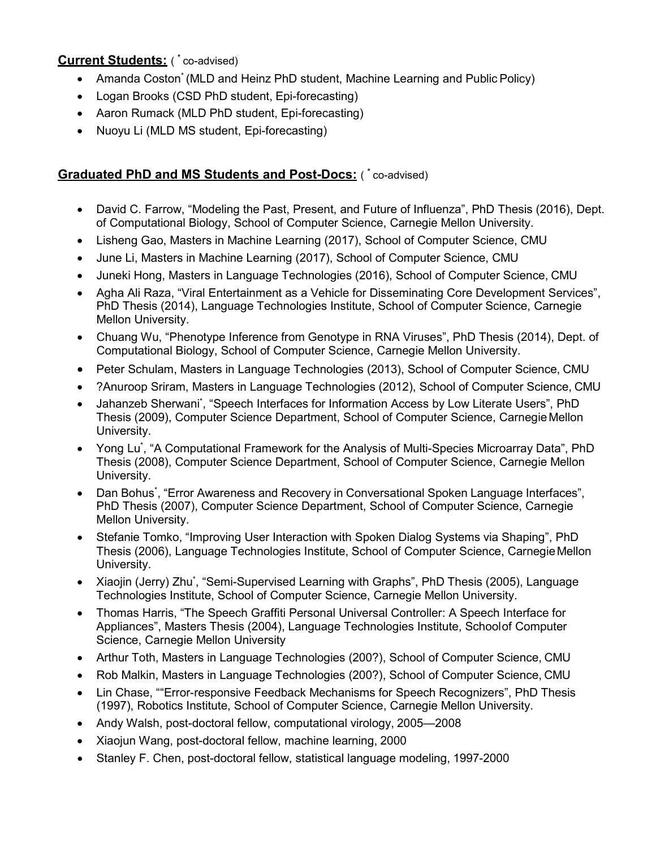# **Current Students:** ( \* co-advised)

- Amanda Coston\* (MLD and Heinz PhD student, Machine Learning and Public Policy)
- Logan Brooks (CSD PhD student, Epi-forecasting)
- Aaron Rumack (MLD PhD student, Epi-forecasting)
- Nuoyu Li (MLD MS student, Epi-forecasting)

### **Graduated PhD and MS Students and Post-Docs:** ( \* co-advised)

- David C. Farrow, "Modeling the Past, Present, and Future of Influenza", PhD Thesis (2016), Dept. of Computational Biology, School of Computer Science, Carnegie Mellon University.
- Lisheng Gao, Masters in Machine Learning (2017), School of Computer Science, CMU
- June Li, Masters in Machine Learning (2017), School of Computer Science, CMU
- Juneki Hong, Masters in Language Technologies (2016), School of Computer Science, CMU
- Agha Ali Raza, "Viral Entertainment as a Vehicle for Disseminating Core Development Services", PhD Thesis (2014), Language Technologies Institute, School of Computer Science, Carnegie Mellon University.
- Chuang Wu, "Phenotype Inference from Genotype in RNA Viruses", PhD Thesis (2014), Dept. of Computational Biology, School of Computer Science, Carnegie Mellon University.
- Peter Schulam, Masters in Language Technologies (2013), School of Computer Science, CMU
- ?Anuroop Sriram, Masters in Language Technologies (2012), School of Computer Science, CMU
- Jahanzeb Sherwani', "Speech Interfaces for Information Access by Low Literate Users", PhD Thesis (2009), Computer Science Department, School of Computer Science, Carnegie Mellon University.
- Yong Lu<sup>\*</sup>, "A Computational Framework for the Analysis of Multi-Species Microarray Data", PhD Thesis (2008), Computer Science Department, School of Computer Science, Carnegie Mellon University.
- Dan Bohus<sup>\*</sup>, "Error Awareness and Recovery in Conversational Spoken Language Interfaces", PhD Thesis (2007), Computer Science Department, School of Computer Science, Carnegie Mellon University.
- Stefanie Tomko, "Improving User Interaction with Spoken Dialog Systems via Shaping", PhD Thesis (2006), Language Technologies Institute, School of Computer Science, CarnegieMellon University.
- Xiaojin (Jerry) Zhu<sup>\*</sup>, "Semi-Supervised Learning with Graphs", PhD Thesis (2005), Language Technologies Institute, School of Computer Science, Carnegie Mellon University.
- Thomas Harris, "The Speech Graffiti Personal Universal Controller: A Speech Interface for Appliances", Masters Thesis (2004), Language Technologies Institute, Schoolof Computer Science, Carnegie Mellon University
- Arthur Toth, Masters in Language Technologies (200?), School of Computer Science, CMU
- Rob Malkin, Masters in Language Technologies (200?), School of Computer Science, CMU
- Lin Chase, ""Error-responsive Feedback Mechanisms for Speech Recognizers", PhD Thesis (1997), Robotics Institute, School of Computer Science, Carnegie Mellon University.
- Andy Walsh, post-doctoral fellow, computational virology, 2005—2008
- Xiaojun Wang, post-doctoral fellow, machine learning, 2000
- Stanley F. Chen, post-doctoral fellow, statistical language modeling, 1997-2000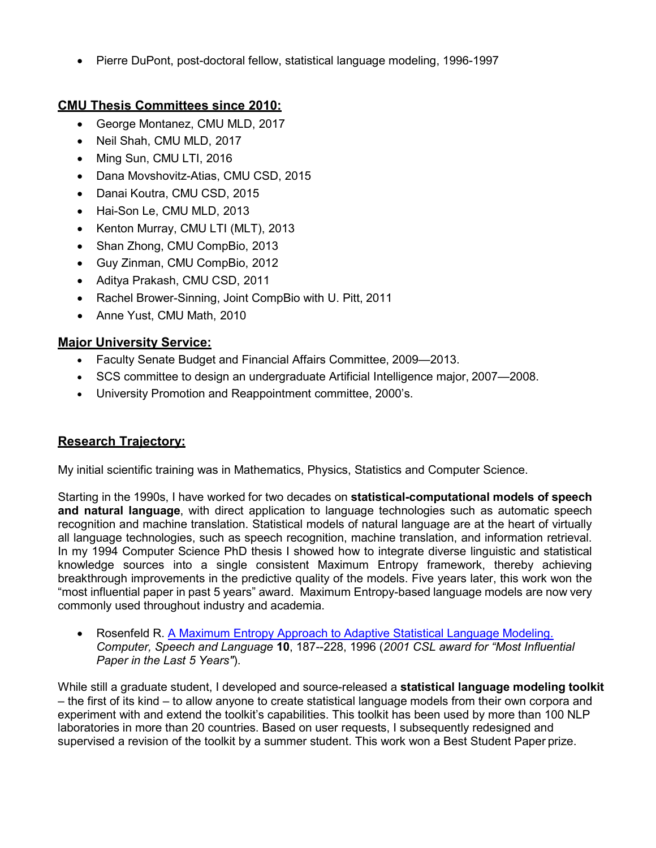• Pierre DuPont, post-doctoral fellow, statistical language modeling, 1996-1997

# **CMU Thesis Committees since 2010:**

- George Montanez, CMU MLD, 2017
- Neil Shah, CMU MLD, 2017
- Ming Sun, CMU LTI, 2016
- Dana Movshovitz-Atias, CMU CSD, 2015
- Danai Koutra, CMU CSD, 2015
- Hai-Son Le, CMU MLD, 2013
- Kenton Murray, CMU LTI (MLT), 2013
- Shan Zhong, CMU CompBio, 2013
- Guy Zinman, CMU CompBio, 2012
- Aditya Prakash, CMU CSD, 2011
- Rachel Brower-Sinning, Joint CompBio with U. Pitt, 2011
- Anne Yust, CMU Math, 2010

# **Major University Service:**

- Faculty Senate Budget and Financial Affairs Committee, 2009—2013.
- SCS committee to design an undergraduate Artificial Intelligence major, 2007—2008.
- University Promotion and Reappointment committee, 2000's.

# **Research Trajectory:**

My initial scientific training was in Mathematics, Physics, Statistics and Computer Science.

Starting in the 1990s, I have worked for two decades on **statistical-computational models of speech and natural language**, with direct application to language technologies such as automatic speech recognition and machine translation. Statistical models of natural language are at the heart of virtually all language technologies, such as speech recognition, machine translation, and information retrieval. In my 1994 Computer Science PhD thesis I showed how to integrate diverse linguistic and statistical knowledge sources into a single consistent Maximum Entropy framework, thereby achieving breakthrough improvements in the predictive quality of the models. Five years later, this work won the "most influential paper in past 5 years" award. Maximum Entropy-based language models are now very commonly used throughout industry and academia.

Rosenfeld R. [A Maximum Entropy Approach to Adaptive Statistical Language Modeling.](http://www.cs.cmu.edu/%7Eroni/papers/me-csl-revised.pdf) *Computer, Speech and Language* **10**, 187--228, 1996 (*2001 CSL award for "Most Influential Paper in the Last 5 Years"*).

While still a graduate student, I developed and source-released a **statistical language modeling toolkit** – the first of its kind – to allow anyone to create statistical language models from their own corpora and experiment with and extend the toolkit's capabilities. This toolkit has been used by more than 100 NLP laboratories in more than 20 countries. Based on user requests, I subsequently redesigned and supervised a revision of the toolkit by a summer student. This work won a Best Student Paper prize.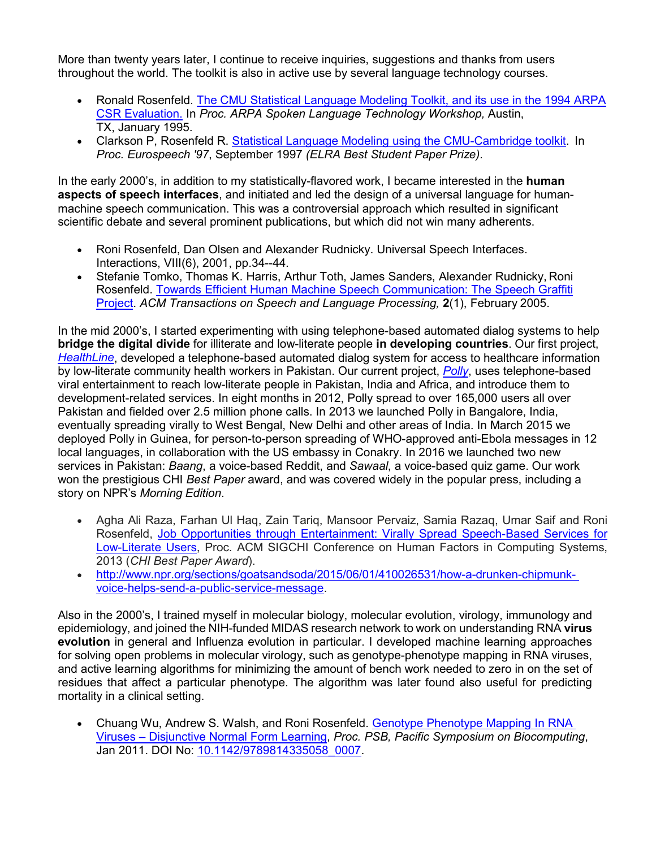More than twenty years later, I continue to receive inquiries, suggestions and thanks from users throughout the world. The toolkit is also in active use by several language technology courses.

- Ronald Rosenfeld. [The CMU Statistical Language Modeling Toolkit, and its use in the 1994 ARPA](http://www.cs.cmu.edu/%7Eroni/papers/SLM-TK-V1-SLT95.pdf) [CSR Evaluation.](http://www.cs.cmu.edu/%7Eroni/papers/SLM-TK-V1-SLT95.pdf) In *Proc. ARPA Spoken Language Technology Workshop,* Austin, TX, January 1995.
- Clarkson P, Rosenfeld R. [Statistical Language Modeling using the CMU-Cambridge toolkit.](http://www.cs.cmu.edu/%7Eroni/papers/SLM-TK-V2-eurospeech-97.pdf) In *Proc. Eurospeech '97*, September 1997 *(ELRA Best Student Paper Prize).*

In the early 2000's, in addition to my statistically-flavored work, I became interested in the **human aspects of speech interfaces**, and initiated and led the design of a universal language for humanmachine speech communication. This was a controversial approach which resulted in significant scientific debate and several prominent publications, but which did not win many adherents.

- Roni Rosenfeld, Dan Olsen and Alexander Rudnicky. [Universal Speech Interfaces.](http://cs.cmu.edu/%7Eroni/papers/USI%20Interactions%20010625.pdf) Interactions, VIII(6), 2001, pp.34--44.
- Stefanie Tomko, Thomas K. Harris, Arthur Toth, James Sanders, Alexander Rudnicky, Roni Rosenfeld. [Towards Efficient Human Machine Speech Communication: The Speech Graffiti](http://cs.cmu.edu/%7Eroni/papers/USI-ACM-TSLP05.pdf) [Project.](http://cs.cmu.edu/%7Eroni/papers/USI-ACM-TSLP05.pdf) *ACM Transactions on Speech and Language Processing,* **2**(1), February 2005.

In the mid 2000's, I started experimenting with using telephone-based automated dialog systems to help **bridge the digital divide** for illiterate and low-literate people **in developing countries**. Our first project, *[HealthLine](http://www.cs.cmu.edu/%7Ehealthline/)*, developed a telephone-based automated dialog system for access to healthcare information by low-literate community health workers in Pakistan. Our current project, *[Polly](http://www.cs.cmu.edu/%7EPolly/)*, uses telephone-based viral entertainment to reach low-literate people in Pakistan, India and Africa, and introduce them to development-related services. In eight months in 2012, Polly spread to over 165,000 users all over Pakistan and fielded over 2.5 million phone calls. In 2013 we launched Polly in Bangalore, India, eventually spreading virally to West Bengal, New Delhi and other areas of India. In March 2015 we deployed Polly in Guinea, for person-to-person spreading of WHO-approved anti-Ebola messages in 12 local languages, in collaboration with the US embassy in Conakry. In 2016 we launched two new services in Pakistan: *Baang*, a voice-based Reddit, and *Sawaal*, a voice-based quiz game. Our work won the prestigious CHI *Best Paper* award, and was covered widely in the popular press, including a story on NPR's *Morning Edition*.

- Agha Ali Raza, Farhan Ul Haq, Zain Tariq, Mansoor Pervaiz, Samia Razaq, Umar Saif and Roni Rosenfeld, [Job Opportunities through Entertainment: Virally Spread Speech-Based Services for](http://www.cs.cmu.edu/%7EPolly/pubs/CHI13.pdf) [Low-Literate Users,](http://www.cs.cmu.edu/%7EPolly/pubs/CHI13.pdf) Proc. ACM SIGCHI Conference on Human Factors in Computing Systems, 2013 (*CHI Best Paper Award*).
- [http://www.npr.org/sections/goatsandsoda/2015/06/01/410026531/how-a-drunken-chipmunk](http://www.npr.org/sections/goatsandsoda/2015/06/01/410026531/how-a-drunken-chipmunk-voice-helps-send-a-public-service-message)[voice-helps-send-a-public-service-message.](http://www.npr.org/sections/goatsandsoda/2015/06/01/410026531/how-a-drunken-chipmunk-voice-helps-send-a-public-service-message)

Also in the 2000's, I trained myself in molecular biology, molecular evolution, virology, immunology and epidemiology, and joined the NIH-funded MIDAS research network to work on understanding RNA **virus evolution** in general and Influenza evolution in particular. I developed machine learning approaches for solving open problems in molecular virology, such as genotype-phenotype mapping in RNA viruses, and active learning algorithms for minimizing the amount of bench work needed to zero in on the set of residues that affect a particular phenotype. The algorithm was later found also useful for predicting mortality in a clinical setting.

• Chuang Wu, Andrew S. Walsh, and Roni Rosenfeld. [Genotype Phenotype Mapping In RNA](http://eproceedings.worldscinet.com/9789814335058/9789814335058_0007.html) Viruses – [Disjunctive Normal Form Learning,](http://eproceedings.worldscinet.com/9789814335058/9789814335058_0007.html) *Proc. PSB, Pacific Symposium on Biocomputing*, Jan 2011. DOI No: [10.1142/9789814335058\\_0007.](http://dx.doi.org/10.1142/9789814335058_0007)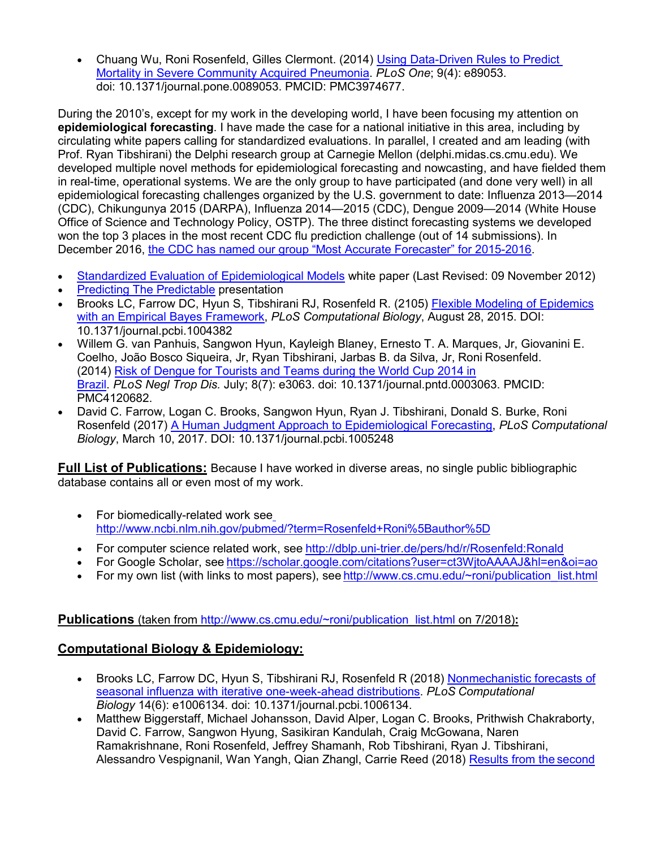• Chuang Wu, Roni Rosenfeld, Gilles Clermont. (2014) [Using Data-Driven Rules to Predict](http://www.ncbi.nlm.nih.gov/pmc/articles/PMC3974677/) [Mortality in Severe Community Acquired Pneumonia.](http://www.ncbi.nlm.nih.gov/pmc/articles/PMC3974677/) *PLoS One*; 9(4): e89053. doi: 10.1371/journal.pone.0089053. PMCID: PMC3974677.

During the 2010's, except for my work in the developing world, I have been focusing my attention on **epidemiological forecasting**. I have made the case for a national initiative in this area, including by circulating white papers calling for standardized evaluations. In parallel, I created and am leading (with Prof. Ryan Tibshirani) the Delphi research group at Carnegie Mellon (delphi.midas.cs.cmu.edu). We developed multiple novel methods for epidemiological forecasting and nowcasting, and have fielded them in real-time, operational systems. We are the only group to have participated (and done very well) in all epidemiological forecasting challenges organized by the U.S. government to date: Influenza 2013—2014 (CDC), Chikungunya 2015 (DARPA), Influenza 2014—2015 (CDC), Dengue 2009—2014 (White House Office of Science and Technology Policy, OSTP). The three distinct forecasting systems we developed won the top 3 places in the most recent CDC flu prediction challenge (out of 14 submissions). In December 2016, [the CDC has named our group "Most Accurate Forecaster" for 2015-2016.](https://www.cdc.gov/flu/spotlights/flu-activity-forecasts-2016-2017.htm)

- [Standardized Evaluation of Epidemiological Models](https://www.cs.cmu.edu/%7Eroni/standardized-evaluation-of-epi-models-rev-09nov2012.pdf) white paper (Last Revised: 09 November 2012)
- **[Predicting The Predictable](http://delphi.midas.cs.cmu.edu/files/PredictingThePredictable_13-04-03.pdf) presentation**
- Brooks LC, Farrow DC, Hyun S, Tibshirani RJ, Rosenfeld R. (2105) Flexible Modeling of Epidemics with an Empirical Bayes Framework, *PLoS Computational Biology*, August 28, 2015. DOI: 10.1371/journal.pcbi.1004382
- Willem G. van Panhuis, Sangwon Hyun, Kayleigh Blaney, Ernesto T. A. Marques, Jr, Giovanini E. Coelho, João Bosco Siqueira, Jr, Ryan Tibshirani, Jarbas B. da Silva, Jr, Roni Rosenfeld. (2014) [Risk of Dengue for Tourists and Teams during the World Cup 2014 in](http://www.ncbi.nlm.nih.gov/pmc/articles/PMC4120682/) [Brazil.](http://www.ncbi.nlm.nih.gov/pmc/articles/PMC4120682/) *PLoS Negl Trop Dis.* July; 8(7): e3063. doi: 10.1371/journal.pntd.0003063. PMCID: PMC4120682.
- David C. Farrow, Logan C. Brooks, Sangwon Hyun, Ryan J. Tibshirani, Donald S. Burke, Roni Rosenfeld (2017) A Human Judgment Approach to Epidemiological Forecasting, *PLoS Computational Biology*, March 10, 2017. DOI: 10.1371/journal.pcbi.1005248

**Full List of Publications:** Because I have worked in diverse areas, no single public bibliographic database contains all or even most of my work.

- For biomedically-related work see [http://www.ncbi.nlm.nih.gov/pubmed/?term=Rosenfeld+Roni%5Bauthor%5D](http://www.ncbi.nlm.nih.gov/pubmed/?term=Rosenfeld%2BRoni%5Bauthor%5D)
- For computer science related work, see http://dblp.uni-trier.de/pers/hd/r/Rosenfeld:Ronald
- For Google Scholar, see <https://scholar.google.com/citations?user=ct3WjtoAAAAJ&hl=en&oi=ao>
- For my own list (with links to most papers), see [http://www.cs.cmu.edu/~roni/publication\\_list.html](http://www.cs.cmu.edu/%7Eroni/publication_list.html)

#### **Publications** (taken from [http://www.cs.cmu.edu/~roni/publication\\_list.html](http://www.cs.cmu.edu/%7Eroni/publication_list.html) on 7/2018):

# **Computational Biology & Epidemiology:**

- Brooks LC, Farrow DC, Hyun S, Tibshirani RJ, Rosenfeld R (2018) Nonmechanistic forecasts of seasonal influenza with iterative one-week-ahead distributions. *PLoS Computational Biology* 14(6): e1006134. doi: 10.1371/journal.pcbi.1006134.
- Matthew Biggerstaff, Michael Johansson, David Alper, Logan C. Brooks, Prithwish Chakraborty, David C. Farrow, Sangwon Hyung, Sasikiran Kandulah, Craig McGowana, Naren Ramakrishnane, Roni Rosenfeld, Jeffrey Shamanh, Rob Tibshirani, Ryan J. Tibshirani, Alessandro Vespignanil, Wan Yangh, Qian Zhangl, Carrie Reed (2018) [Results from the](https://www.sciencedirect.com/science/article/pii/S1755436517300889?via%3Dihub) second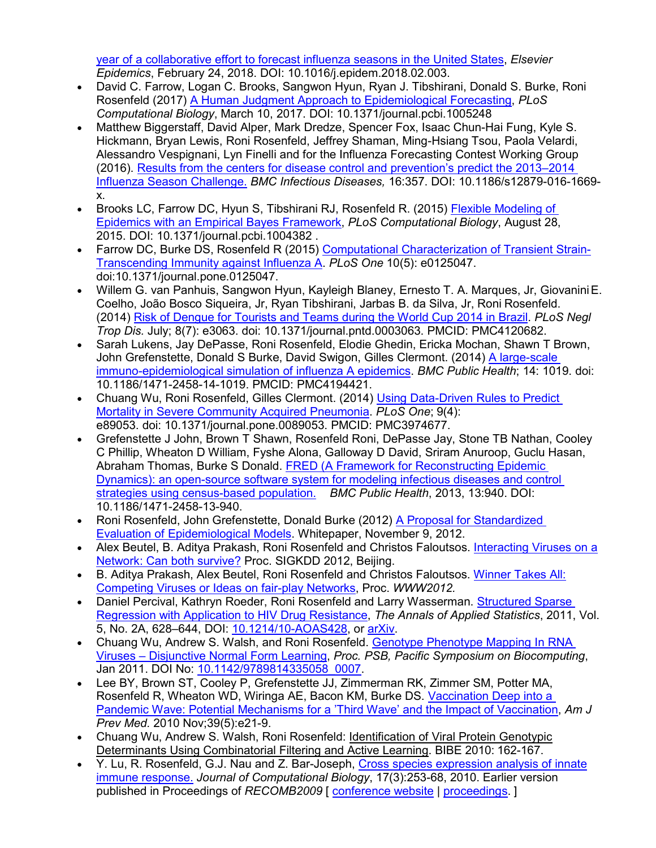[year of a collaborative effort to forecast influenza seasons in the United States,](https://www.sciencedirect.com/science/article/pii/S1755436517300889?via%3Dihub) *Elsevier Epidemics*, February 24, 2018. DOI: 10.1016/j.epidem.2018.02.003.

- David C. Farrow, Logan C. Brooks, Sangwon Hyun, Ryan J. Tibshirani, Donald S. Burke, Roni Rosenfeld (2017) A Human Judgment Approach to Epidemiological Forecasting, *PLoS Computational Biology*, March 10, 2017. DOI: 10.1371/journal.pcbi.1005248
- Matthew Biggerstaff, David Alper, Mark Dredze, Spencer Fox, Isaac Chun-Hai Fung, Kyle S. Hickmann, Bryan Lewis, Roni Rosenfeld, Jeffrey Shaman, Ming-Hsiang Tsou, Paola Velardi, Alessandro Vespignani, Lyn Finelli and for the Influenza Forecasting Contest Working Group (2016). [Results from the centers for disease control and prevention's predict the 2013–2014](http://www.biomedcentral.com/1471-2334/16/357/email?from=email) [Influenza Season Challenge.](http://www.biomedcentral.com/1471-2334/16/357/email?from=email) *BMC Infectious Diseases,* 16:357. DOI: 10.1186/s12879-016-1669 x.
- Brooks LC, Farrow DC, Hyun S, Tibshirani RJ, Rosenfeld R. (2015) Flexible Modeling of Epidemics with an Empirical Bayes Framework, *PLoS Computational Biology*, August 28, 2015. DOI: 10.1371/journal.pcbi.1004382 .
- Farrow DC, Burke DS, Rosenfeld R (2015) Computational Characterization of Transient Strain-Transcending Immunity against Influenza A. *PLoS One* 10(5): e0125047. doi:10.1371/journal.pone.0125047.
- Willem G. van Panhuis, Sangwon Hyun, Kayleigh Blaney, Ernesto T. A. Marques, Jr, GiovaniniE. Coelho, João Bosco Siqueira, Jr, Ryan Tibshirani, Jarbas B. da Silva, Jr, Roni Rosenfeld. (2014) [Risk of Dengue for Tourists and Teams during the World Cup 2014 in Brazil.](http://www.ncbi.nlm.nih.gov/pmc/articles/PMC4120682/) *PLoS Negl Trop Dis.* July; 8(7): e3063. doi: 10.1371/journal.pntd.0003063. PMCID: PMC4120682.
- Sarah Lukens, Jay DePasse, Roni Rosenfeld, Elodie Ghedin, Ericka Mochan, Shawn T Brown, John Grefenstette, Donald S Burke, David Swigon, Gilles Clermont. (2014) [A large-scale](http://www.ncbi.nlm.nih.gov/pmc/articles/PMC4194421/) [immuno-epidemiological simulation of influenza A epidemics.](http://www.ncbi.nlm.nih.gov/pmc/articles/PMC4194421/) *BMC Public Health*; 14: 1019. doi: 10.1186/1471-2458-14-1019. PMCID: PMC4194421.
- Chuang Wu, Roni Rosenfeld, Gilles Clermont. (2014) [Using Data-Driven Rules to Predict](http://www.ncbi.nlm.nih.gov/pmc/articles/PMC3974677/) [Mortality in Severe Community Acquired Pneumonia.](http://www.ncbi.nlm.nih.gov/pmc/articles/PMC3974677/) *PLoS One*; 9(4): e89053. doi: 10.1371/journal.pone.0089053. PMCID: PMC3974677.
- Grefenstette J John, Brown T Shawn, Rosenfeld Roni, DePasse Jay, Stone TB Nathan, Cooley C Phillip, Wheaton D William, Fyshe Alona, Galloway D David, Sriram Anuroop, Guclu Hasan, Abraham Thomas, Burke S Donald. [FRED \(A Framework for Reconstructing Epidemic](http://www.biomedcentral.com/1471-2458/13/940) [Dynamics\): an open-source software system for modeling infectious diseases and control](http://www.biomedcentral.com/1471-2458/13/940) [strategies using](http://www.biomedcentral.com/1471-2458/13/940) census-based population. *BMC Public Health*, 2013, 13:940. DOI: 10.1186/1471-2458-13-940.
- Roni Rosenfeld, John Grefenstette, Donald Burke (2012) [A Proposal for Standardized](http://www.cs.cmu.edu/%7Eroni/standardized-evaluation-of-epi-models-rev-09nov2012.pdf)  [Evaluation of Epidemiological Models.](http://www.cs.cmu.edu/%7Eroni/standardized-evaluation-of-epi-models-rev-09nov2012.pdf) Whitepaper, November 9, 2012.
- Alex Beutel, B. Aditya Prakash, Roni Rosenfeld and Christos Faloutsos. [Interacting Viruses on a](http://people.cs.vt.edu/%7Ebadityap/papers/competing-coexistence-kdd12.pdf) [Network: Can both survive?](http://people.cs.vt.edu/%7Ebadityap/papers/competing-coexistence-kdd12.pdf) Proc. SIGKDD 2012, Beijing.
- B. Aditya Prakash, Alex Beutel, Roni Rosenfeld and Christos Faloutsos. [Winner Takes All:](http://cs.cmu.edu/%7Eroni/papers/WinnerTakesAll-WWW2012.pdf) [Competing Viruses or Ideas on fair-play Networks,](http://cs.cmu.edu/%7Eroni/papers/WinnerTakesAll-WWW2012.pdf) Proc. *WWW2012.*
- Daniel Percival, Kathryn Roeder, Roni Rosenfeld and Larry Wasserman. Structured Sparse Regression with Application to HIV Drug Resistance, *The Annals of Applied Statistics*, 2011, Vol. 5, No. 2A, 628–644, DOI: [10.1214/10-AOAS428,](http://dx.doi.org/10.1214/10-AOAS428) or [arXiv.](http://arxiv.org/abs/1002.3128)
- Chuang Wu, Andrew S. Walsh, and Roni Rosenfeld. [Genotype Phenotype Mapping In RNA](http://eproceedings.worldscinet.com/9789814335058/9789814335058_0007.html) Viruses – [Disjunctive Normal Form Learning,](http://eproceedings.worldscinet.com/9789814335058/9789814335058_0007.html) *Proc. PSB, Pacific Symposium on Biocomputing*, Jan 2011. DOI No: [10.1142/9789814335058\\_0007.](http://dx.doi.org/10.1142/9789814335058_0007)
- Lee BY, Brown ST, Cooley P, Grefenstette JJ, Zimmerman RK, Zimmer SM, Potter MA, Rosenfeld R, Wheaton WD, Wiringa AE, Bacon KM, Burke DS. [Vaccination Deep into a](http://www.cs.cmu.edu/%7Eroni/papers/SwineFluThirdWave%202010.pdf) [Pandemic Wave: Potential Mechanisms for a 'Third Wave' and the Impact of Vaccination,](http://www.cs.cmu.edu/%7Eroni/papers/SwineFluThirdWave%202010.pdf) *Am J Prev Med.* 2010 Nov;39(5):e21-9.
- Chuang Wu, Andrew S. Walsh, Roni Rosenfeld: Identification of Viral Protein Genotypic Determinants Using Combinatorial Filtering and Active Learning. BIBE 2010: 162-167.
- Y. Lu, R. Rosenfeld, G.J. Nau and Z. Bar-Joseph, [Cross species expression analysis of innate](http://cs.cmu.edu/%7Eroni/papers/LuRosenfeldNauBar-Joseph10.pdf) [immune response.](http://cs.cmu.edu/%7Eroni/papers/LuRosenfeldNauBar-Joseph10.pdf) *Journal of Computational Biology*, 17(3):253-68, 2010. Earlier version published in Proceedings of *RECOMB2009* [ [conference website](http://compbio.mit.edu/recombsat/) | [proceedings.](http://www.springerlink.com/content/978-3-642-02007-0) ]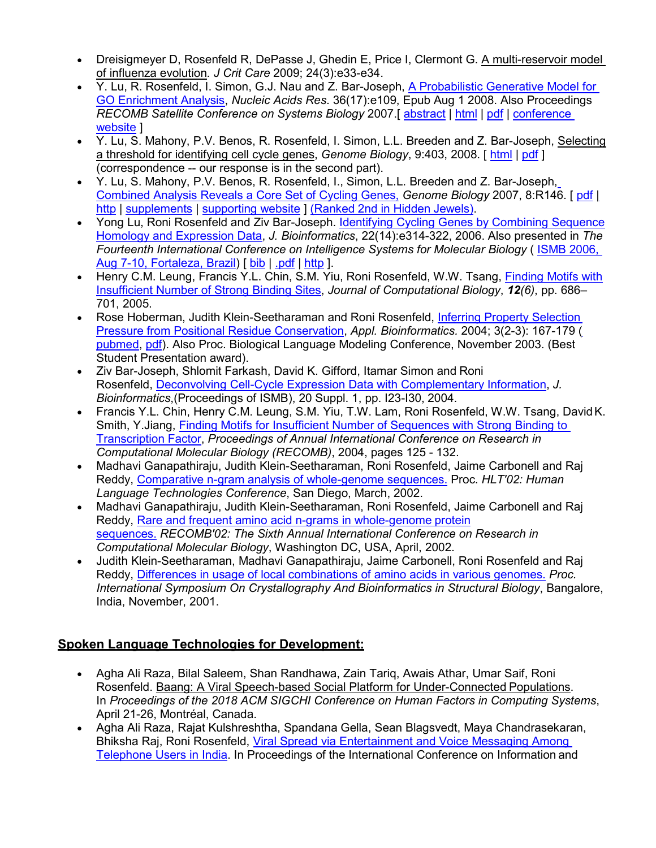- Dreisigmeyer D, Rosenfeld R, DePasse J, Ghedin E, Price I, Clermont G. A multi-reservoir model of influenza evolution*. J Crit Care* 2009; 24(3):e33-e34.
- Y. Lu, R. Rosenfeld, I. Simon, G.J. Nau and Z. Bar-Joseph, [A Probabilistic Generative Model for](http://nar.oxfordjournals.org/cgi/reprint/gkn434?ijkey=9k9ckh3DnsGaPj8&keytype=ref) [GO Enrichment Analysis,](http://nar.oxfordjournals.org/cgi/reprint/gkn434?ijkey=9k9ckh3DnsGaPj8&keytype=ref) *Nucleic Acids Res*. 36(17):e109, Epub Aug 1 2008. Also Proceedings *RECOMB Satellite Conference on Systems Biology* 2007.[ [abstract](http://nar.oxfordjournals.org/cgi/content/abstract/gkn434?ijkey=9k9ckh3DnsGaPj8&keytype=ref) | [html](http://nar.oxfordjournals.org/cgi/content/full/gkn434?ijkey=9k9ckh3DnsGaPj8&keytype=ref) | [pdf](http://nar.oxfordjournals.org/cgi/reprint/gkn434?ijkey=9k9ckh3DnsGaPj8&keytype=ref) | [conference](http://www.recomb2007.com/html/accepted_papers.html) [website](http://www.recomb2007.com/html/accepted_papers.html) ]
- Y. Lu, S. Mahony, P.V. Benos, R. Rosenfeld, I. Simon, L.L. Breeden and Z. Bar-Joseph, Selecting a threshold for identifying cell cycle genes, *Genome Biology*, 9:403, 2008. [ [html](http://genomebiology.com/2008/9/6/403) | [pdf](http://genomebiology.com/content/pdf/gb-2008-9-6-403.pdf) ] (correspondence -- our response is in the second part).
- Y. Lu, S. Mahony, P.V. Benos, R. Rosenfeld, I., Simon, L.L. Breeden and Z. Bar-Joseph[,](http://genomebiology.com/content/pdf/gb-2007-8-7-r146.pdf) [Combined Analysis Reveals a Core Set of Cycling Genes,](http://genomebiology.com/content/pdf/gb-2007-8-7-r146.pdf) *Genome Biology* 2007, 8:R146. [ [pdf](http://genomebiology.com/content/pdf/gb-2007-8-7-r146.pdf) [|](http://genomebiology.com/2007/8/7/R146) [http](http://genomebiology.com/2007/8/7/R146) | [supplements](http://genomebiology.com/2007/8/7/R146/additional/) | [supporting website](http://www.cs.cmu.edu/%7Elyongu/pub/ccc/) | [\(Ranked 2nd in Hidden](http://www.cs.cmu.edu/%7Elyongu/hidden_jewels_screen_shot.png) Jewels).
- Yong Lu, Roni Rosenfeld and Ziv Bar-Joseph. [Identifying Cycling Genes by Combining Sequence](http://bioinformatics.oxfordjournals.org/cgi/reprint/22/14/e314.pdf) [Homology and Expression Data,](http://bioinformatics.oxfordjournals.org/cgi/reprint/22/14/e314.pdf) *J. Bioinformatics*, 22(14):e314-322, 2006. Also presented in *The Fourteenth International Conference on Intelligence Systems for Molecular Biology* ( [ISMB 2006,](http://ismb2006.cbi.cnptia.embrapa.br/) [Aug 7-10, Fortaleza, Brazil\)](http://ismb2006.cbi.cnptia.embrapa.br/) [ bib | [.pdf](http://bioinformatics.oxfordjournals.org/cgi/reprint/22/14/e314.pdf) | [http](http://bioinformatics.oxfordjournals.org/cgi/content/abstract/22/14/e314) ].
- Henry C.M. Leung, Francis Y.L. Chin, S.M. Yiu, Roni Rosenfeld, W.W. Tsang, [Finding Motifs with](http://cs.cmu.edu/%7Eroni/papers/Transcription_Factors_JCB.pdf) [Insufficient Number of Strong Binding Sites,](http://cs.cmu.edu/%7Eroni/papers/Transcription_Factors_JCB.pdf) *Journal of Computational Biology*, *12(6)*, pp. 686– 701, 2005.
- Rose Hoberman, Judith Klein-Seetharaman and Roni Rosenfeld, [Inferring Property Selection](http://cs.cmu.edu/%7Eroni/papers/PBC-appliedbio.pdf) [Pressure from Positional Residue Conservation,](http://cs.cmu.edu/%7Eroni/papers/PBC-appliedbio.pdf) *Appl. Bioinformatics.* 2004; 3(2-3): 167-179 [\(](http://www.ncbi.nlm.nih.gov/entrez/query.fcgi?cmd=Retrieve&db=pubmed&dopt=Abstract&list_uids=15693742) [pubmed,](http://www.ncbi.nlm.nih.gov/entrez/query.fcgi?cmd=Retrieve&db=pubmed&dopt=Abstract&list_uids=15693742) [pdf\)](http://www.cs.cmu.edu/%7Eroseh/Papers/applBioinf04.pdf). Also Proc. Biological Language Modeling Conference, November 2003. (Best Student Presentation award).
- Ziv Bar-Joseph, Shlomit Farkash, David K. Gifford, Itamar Simon and Roni Rosenfeld, [Deconvolving Cell-Cycle Expression Data with Complementary Information,](http://cs.cmu.edu/%7Eroni/papers/decon-resync-ismb04.pdf) *J. Bioinformatics*,(Proceedings of ISMB), 20 Suppl. 1, pp. I23-I30, 2004.
- Francis Y.L. Chin, Henry C.M. Leung, S.M. Yiu, T.W. Lam, Roni Rosenfeld, W.W. Tsang, DavidK. Smith, Y.Jiang, [Finding Motifs for Insufficient Number of Sequences with Strong Binding to](http://www.cs.hku.hk/%7Ecmleung2/papers/RECOMB04.pdf) [Transcription Factor,](http://www.cs.hku.hk/%7Ecmleung2/papers/RECOMB04.pdf) *Proceedings of Annual International Conference on Research in Computational Molecular Biology (RECOMB)*, 2004, pages 125 - 132.
- Madhavi Ganapathiraju, Judith Klein-Seetharaman, Roni Rosenfeld, Jaime Carbonell and Raj Reddy, [Comparative n-gram analysis of whole-genome sequences.](http://cs.cmu.edu/%7Eroni/papers/Ganapathirajuetal02.pdf) Proc. *HLT'02: Human Language Technologies Conference*, San Diego, March, 2002.
- Madhavi Ganapathiraju, Judith Klein-Seetharaman, Roni Rosenfeld, Jaime Carbonell and Raj Reddy, [Rare and frequent amino acid n-grams in whole-genome](http://cs.cmu.edu/%7Eroni/papers/Ganapathiraju-RECOMB2002.pdf) protein [sequences.](http://cs.cmu.edu/%7Eroni/papers/Ganapathiraju-RECOMB2002.pdf) *RECOMB'02: The Sixth Annual International Conference on Research in Computational Molecular Biology*, Washington DC, USA, April, 2002.
- Judith Klein-Seetharaman, Madhavi Ganapathiraju, Jaime Carbonell, Roni Rosenfeld and Raj Reddy, [Differences in usage of local combinations of amino acids in various genomes.](http://cs.cmu.edu/%7Eroni/papers/Klein-Seetharaman-Amino-Acids-01.pdf) *Proc. International Symposium On Crystallography And Bioinformatics in Structural Biology*, Bangalore, India, November, 2001.

# **Spoken Language Technologies for Development:**

- Agha Ali Raza, Bilal Saleem, Shan Randhawa, Zain Tariq, Awais Athar, Umar Saif, Roni Rosenfeld. Baang: A Viral Speech-based Social Platform for Under-Connected Populations. In *Proceedings of the 2018 ACM SIGCHI Conference on Human Factors in Computing Systems*, April 21-26, Montréal, Canada.
- Agha Ali Raza, Rajat Kulshreshtha, Spandana Gella, Sean Blagsvedt, Maya Chandrasekaran, Bhiksha Raj, Roni Rosenfeld, [Viral Spread via Entertainment and Voice Messaging Among](http://www.cs.cmu.edu/%7E./Polly/publications/2016--ICTD--Viral_Spread_via_Entertainment_and_Voice-Messaging_Among_Telephone_Users_in_India.pdf) [Telephone Users in India.](http://www.cs.cmu.edu/%7E./Polly/publications/2016--ICTD--Viral_Spread_via_Entertainment_and_Voice-Messaging_Among_Telephone_Users_in_India.pdf) In Proceedings of the International Conference on Information and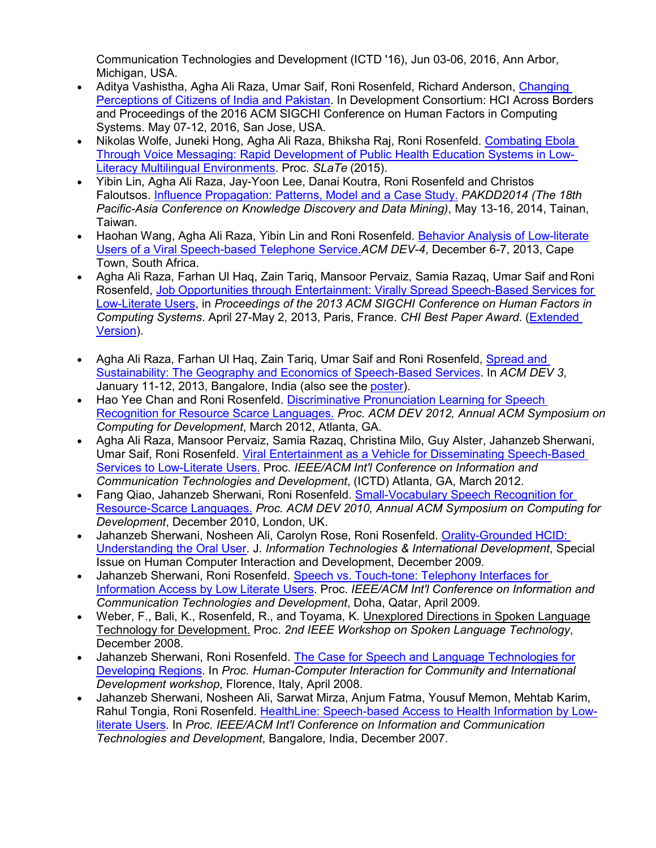Communication Technologies and Development (ICTD '16), Jun 03-06, 2016, Ann Arbor, Michigan, USA.

- Aditya Vashistha, Agha Ali Raza, Umar Saif, Roni Rosenfeld, Richard Anderson, [Changing](http://www.cs.cmu.edu/%7Earaza/publications/2016--DevCon-CHI--Changing_Perceptions_of_Citizens_of_India_and_Pakistan.pdf) [Perceptions of Citizens of India and Pakistan.](http://www.cs.cmu.edu/%7Earaza/publications/2016--DevCon-CHI--Changing_Perceptions_of_Citizens_of_India_and_Pakistan.pdf) In Development Consortium: HCI Across Borders and Proceedings of the 2016 ACM SIGCHI Conference on Human Factors in Computing Systems. May 07-12, 2016, San Jose, USA.
- Nikolas Wolfe, Juneki Hong, Agha Ali Raza, Bhiksha Raj, Roni Rosenfeld. [Combating Ebola](http://www.cs.cmu.edu/%7Eroni/papers/wolfe%2Bhong%2Braza%2Braj%2Brosenfeld.slate15.paper.pdf) [Through Voice Messaging: Rapid Development of Public Health Education Systems in Low-](http://www.cs.cmu.edu/%7Eroni/papers/wolfe%2Bhong%2Braza%2Braj%2Brosenfeld.slate15.paper.pdf)[Literacy Multilingual Environments.](http://www.cs.cmu.edu/%7Eroni/papers/wolfe%2Bhong%2Braza%2Braj%2Brosenfeld.slate15.paper.pdf) Proc. *SLaTe* (2015).
- Yibin Lin, Agha Ali Raza, Jay-Yoon Lee, Danai Koutra, Roni Rosenfeld and Christos Faloutsos. [Influence Propagation: Patterns, Model and a Case Study.](http://cs.cmu.edu/%7Eroni/papers/pakdd-14.pdf) *PAKDD2014 (The 18th Pacific-Asia Conference on Knowledge Discovery and Data Mining)*, May 13-16, 2014, Tainan, Taiwan.
- Haohan Wang, Agha Ali Raza, Yibin Lin and Roni Rosenfeld. [Behavior Analysis of Low-literate](http://cs.cmu.edu/%7Eroni/papers/DEV4-CRv2.1.pdf) [Users of a Viral Speech-based Telephone Service.](http://cs.cmu.edu/%7Eroni/papers/DEV4-CRv2.1.pdf)*ACM DEV-4*, December 6-7, 2013, Cape Town, South Africa.
- Agha Ali Raza, Farhan Ul Haq, Zain Tariq, Mansoor Pervaiz, Samia Razaq, Umar Saif and Roni Rosenfeld, Job Opportunities [through Entertainment: Virally Spread Speech-Based Services for](http://www.cs.cmu.edu/%7EPolly/pubs/CHI13.pdf) [Low-Literate Users,](http://www.cs.cmu.edu/%7EPolly/pubs/CHI13.pdf) in *Proceedings of the 2013 ACM SIGCHI Conference on Human Factors in Computing Systems*. April 27-May 2, 2013, Paris, France. *CHI Best Paper Award*. [\(Extended](http://www.cs.cmu.edu/%7EPolly/pubs/CHI13-Extended.pdf) [Version\)](http://www.cs.cmu.edu/%7EPolly/pubs/CHI13-Extended.pdf).
- Agha Ali Raza, Farhan Ul Haq, Zain Tariq, Umar Saif and Roni Rosenfeld, [Spread and](http://www.cs.cmu.edu/%7EPolly/pubs/Dev13-abs.pdf) [Sustainability: The Geography and Economics of Speech-Based Services.](http://www.cs.cmu.edu/%7EPolly/pubs/Dev13-abs.pdf) In *ACM DEV 3*, January 11-12, 2013, Bangalore, India (also see the [poster\)](http://www.cs.cmu.edu/%7EPolly/pubs/Dev13-post.pdf).
- Hao Yee Chan and Roni Rosenfeld. [Discriminative Pronunciation Learning for Speech](http://cs.cmu.edu/%7Eroni/papers/salaam-DEV2012.pdf) [Recognition for Resource Scarce Languages.](http://cs.cmu.edu/%7Eroni/papers/salaam-DEV2012.pdf) *Proc. ACM DEV 2012, Annual ACM Symposium on Computing for Development*, March 2012, Atlanta, GA.
- Agha Ali Raza, Mansoor Pervaiz, Samia Razaq, Christina Milo, Guy Alster, Jahanzeb Sherwani, Umar Saif, Roni Rosenfeld. [Viral Entertainment as a Vehicle for Disseminating Speech-Based](http://cs.cmu.edu/%7Eroni/papers/Polly1-ICTD2012.pdf) [Services to Low-Literate Users.](http://cs.cmu.edu/%7Eroni/papers/Polly1-ICTD2012.pdf) Proc. *IEEE/ACM Int'l Conference on Information and Communication Technologies and Development*, (ICTD) Atlanta, GA, March 2012.
- Fang Qiao, Jahanzeb Sherwani, Roni Rosenfeld. [Small-Vocabulary Speech Recognition for](http://cs.cmu.edu/%7Eroni/papers/salaam-DEV2010.pdf) [Resource-Scarce Languages.](http://cs.cmu.edu/%7Eroni/papers/salaam-DEV2010.pdf) *Proc. ACM DEV 2010, Annual ACM Symposium on Computing for Development*, December 2010, London, UK.
- Jahanzeb Sherwani, Nosheen Ali, Carolyn Rose, Roni Rosenfeld. [Orality-Grounded HCID:](http://www.cs.cmu.edu/%7Ejsherwan/pubs/orality-hcid-itid09.pdf) [Understanding the Oral User.](http://www.cs.cmu.edu/%7Ejsherwan/pubs/orality-hcid-itid09.pdf) J. *Information Technologies & International Development*, Special Issue on Human Computer Interaction and Development, December 2009.
- Jahanzeb Sherwani, Roni Rosenfeld. [Speech vs. Touch-tone: Telephony Interfaces for](http://www.cs.cmu.edu/%7Eroni/papers/slt%20ictd09%20submit.pdf) [Information Access by Low Literate Users.](http://www.cs.cmu.edu/%7Eroni/papers/slt%20ictd09%20submit.pdf) Proc. *IEEE/ACM Int'l Conference on Information and Communication Technologies and Development*, Doha, Qatar, April 2009.
- Weber, F., Bali, K., Rosenfeld, R., and Toyama, K. Unexplored Directions in Spoken Language Technology for Development. Proc. *2nd IEEE Workshop on Spoken Language Technology*, December 2008.
- Jahanzeb Sherwani, Roni Rosenfeld. [The Case for Speech and Language Technologies for](http://www.cs.cmu.edu/%7Ejsherwan/pubs/case-slt4d.pdf) [Developing Regions.](http://www.cs.cmu.edu/%7Ejsherwan/pubs/case-slt4d.pdf) In *Proc. Human-Computer Interaction for Community and International Development workshop*, Florence, Italy, April 2008.
- Jahanzeb Sherwani, Nosheen Ali, Sarwat Mirza, Anjum Fatma, Yousuf Memon, Mehtab Karim, Rahul Tongia, Roni Rosenfeld. [HealthLine: Speech-based Access to Health Information by Low](http://www.cs.cmu.edu/%7Ejsherwan/pubs/ictd07.pdf)[literate Users.](http://www.cs.cmu.edu/%7Ejsherwan/pubs/ictd07.pdf) In *Proc. IEEE/ACM Int'l Conference on Information and Communication Technologies and Development*, Bangalore, India, December 2007.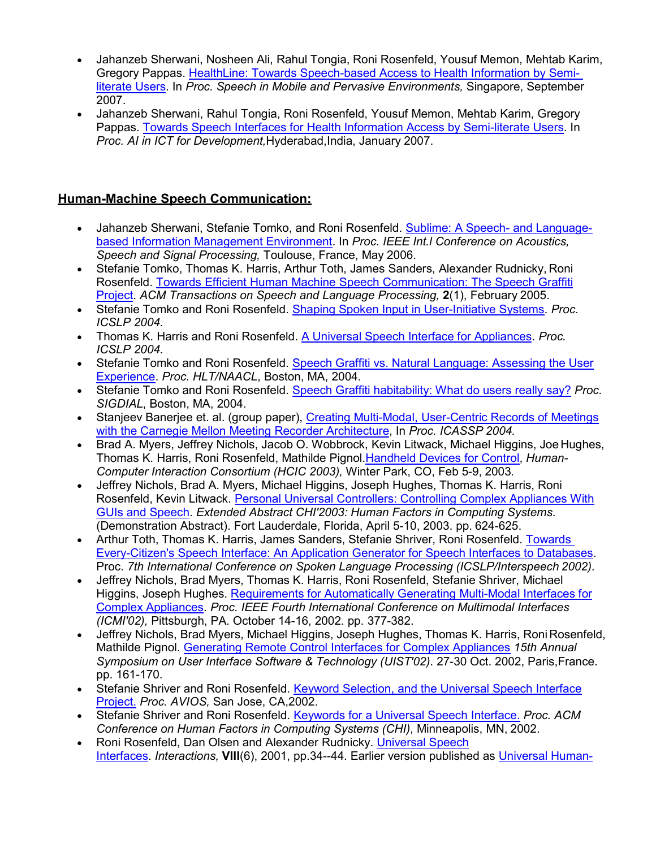- Jahanzeb Sherwani, Nosheen Ali, Rahul Tongia, Roni Rosenfeld, Yousuf Memon, Mehtab Karim, Gregory Pappas. [HealthLine: Towards Speech-based Access to Health Information by Semi](http://www.cs.cmu.edu/%7Ejsherwan/pubs/simpe2007.pdf)[literate Users.](http://www.cs.cmu.edu/%7Ejsherwan/pubs/simpe2007.pdf) In *Proc. Speech in Mobile and Pervasive Environments,* Singapore, September 2007.
- Jahanzeb Sherwani, Rahul Tongia, Roni Rosenfeld, Yousuf Memon, Mehtab Karim, Gregory Pappas. [Towards Speech Interfaces for Health Information Access by Semi-literate Users.](http://www.cs.cmu.edu/%7Ejsherwan/pubs/ijcai2007.pdf) In *Proc. AI in ICT for Development,*Hyderabad,India, January 2007.

# **Human-Machine Speech Communication:**

- Jahanzeb Sherwani, Stefanie Tomko, and Roni Rosenfeld. [Sublime: A Speech-](http://www.cs.cmu.edu/%7Ejsherwan/pubs/icassp2006.pdf) and Language[based Information Management Environment.](http://www.cs.cmu.edu/%7Ejsherwan/pubs/icassp2006.pdf) In *Proc. IEEE Int.l Conference on Acoustics, Speech and Signal Processing,* Toulouse, France, May 2006.
- Stefanie Tomko, Thomas K. Harris, Arthur Toth, James Sanders, Alexander Rudnicky, Roni Rosenfeld. [Towards Efficient Human Machine Speech Communication: The Speech Graffiti](http://cs.cmu.edu/%7Eroni/papers/USI-ACM-TSLP05.pdf) [Project.](http://cs.cmu.edu/%7Eroni/papers/USI-ACM-TSLP05.pdf) *ACM Transactions on Speech and Language Processing,* **2**(1), February 2005.
- Stefanie Tomko and Roni Rosenfeld. [Shaping Spoken Input in User-Initiative Systems.](http://cs.cmu.edu/%7Eroni/papers/ICSLP04slt.pdf) *Proc. ICSLP 2004*.
- Thomas K. Harris and Roni Rosenfeld. [A Universal Speech Interface for Appliances.](http://cs.cmu.edu/%7Eroni/papers/icslp2004-appl.pdf) *Proc. ICSLP 2004*.
- Stefanie Tomko and Roni Rosenfeld. [Speech Graffiti vs. Natural Language: Assessing the User](http://cs.cmu.edu/%7Eroni/papers/HLT04.pdf) [Experience.](http://cs.cmu.edu/%7Eroni/papers/HLT04.pdf) *Proc. HLT/NAACL*, Boston, MA, 2004.
- Stefanie Tomko and Roni Rosenfeld. [Speech Graffiti habitability: What do users really say?](http://cs.cmu.edu/%7Eroni/papers/SigDial04.pdf) *Proc. SIGDIAL*, Boston, MA, 2004.
- Stanjeev Banerjee et. al. (group paper), [Creating Multi-Modal, User-Centric Records of Meetings](http://cs.cmu.edu/%7Eroni/papers/Creating%20Multi-Modal%20User-Centric%20Records%20of%20Meetings%20with%20the%20C.pdf) [with the Carnegie Mellon Meeting Recorder Architecture,](http://cs.cmu.edu/%7Eroni/papers/Creating%20Multi-Modal%20User-Centric%20Records%20of%20Meetings%20with%20the%20C.pdf) In *Proc. ICASSP 2004.*
- Brad A. Myers, Jeffrey Nichols, Jacob O. Wobbrock, Kevin Litwack, Michael Higgins, Joe Hughes, Thomas K. Harris, Roni Rosenfeld, Mathilde Pignol[.Handheld Devices for Control,](http://cs.cmu.edu/%7Eroni/papers/hcic2003.pdf) *Human-Computer Interaction Consortium (HCIC 2003),* Winter Park, CO, Feb 5-9, 2003*.*
- Jeffrey Nichols, Brad A. Myers, Michael Higgins, Joseph Hughes, Thomas K. Harris, Roni Rosenfeld, Kevin Litwack. [Personal Universal Controllers: Controlling Complex Appliances With](http://cs.cmu.edu/%7Eroni/papers/chi2003pucdemo.pdf) [GUIs and Speech.](http://cs.cmu.edu/%7Eroni/papers/chi2003pucdemo.pdf) *Extended Abstract CHI'2003: Human Factors in Computing Systems*. (Demonstration Abstract). Fort Lauderdale, Florida, April 5-10, 2003. pp. 624-625.
- Arthur Toth, Thomas K. Harris, James Sanders, Stefanie Shriver, Roni Rosenfeld. [Towards](http://cs.cmu.edu/%7Eroni/papers/ICSLP02-toolkit.pdf) [Every-Citizen's Speech Interface: An Application Generator for Speech Interfaces to Databases.](http://cs.cmu.edu/%7Eroni/papers/ICSLP02-toolkit.pdf) Proc. *7th International Conference on Spoken Language Processing (ICSLP/Interspeech 2002)*.
- Jeffrey Nichols, Brad Myers, Thomas K. Harris, Roni Rosenfeld, Stefanie Shriver, Michael Higgins, Joseph Hughes. Requirements [for Automatically Generating Multi-Modal Interfaces for](http://cs.cmu.edu/%7Eroni/papers/pucICMI.pdf) [Complex Appliances.](http://cs.cmu.edu/%7Eroni/papers/pucICMI.pdf) *Proc. IEEE Fourth International Conference on Multimodal Interfaces (ICMI'02),* Pittsburgh, PA. October 14-16, 2002. pp. 377-382.
- Jeffrey Nichols, Brad Myers, Michael Higgins, Joseph Hughes, Thomas K. Harris, Roni Rosenfeld, Mathilde Pignol. [Generating Remote Control Interfaces for Complex Appliances](http://cs.cmu.edu/%7Eroni/papers/PebblesPUCuist.pdf) *15th Annual Symposium on User Interface Software & Technology (UIST'02)*. 27-30 Oct. 2002, Paris,France. pp. 161-170.
- Stefanie Shriver and Roni Rosenfeld. [Keyword Selection, and the Universal Speech Interface](http://cs.cmu.edu/%7Eroni/papers/ShriverRosenfeld02a.pdf) [Project.](http://cs.cmu.edu/%7Eroni/papers/ShriverRosenfeld02a.pdf) *Proc. AVIOS,* San Jose, CA,2002.
- Stefanie Shriver and Roni Rosenfeld. [Keywords for a Universal Speech Interface.](http://cs.cmu.edu/%7Eroni/papers/ShriverRosenfeld02b.pdf) *Proc. ACM Conference on Human Factors in Computing Systems (CHI)*, Minneapolis, MN, 2002.
- Roni Rosenfeld, Dan Olsen and Alexander Rudnicky. [Universal](http://cs.cmu.edu/%7Eroni/papers/USI%20Interactions%20010625.pdf) Speech [Interfaces.](http://cs.cmu.edu/%7Eroni/papers/USI%20Interactions%20010625.pdf) *Interactions,* **VIII**(6), 2001, pp.34--44. Earlier version published as [Universal Human-](http://cs.cmu.edu/%7Eroni/papers/USI-TR-00-114.pdf)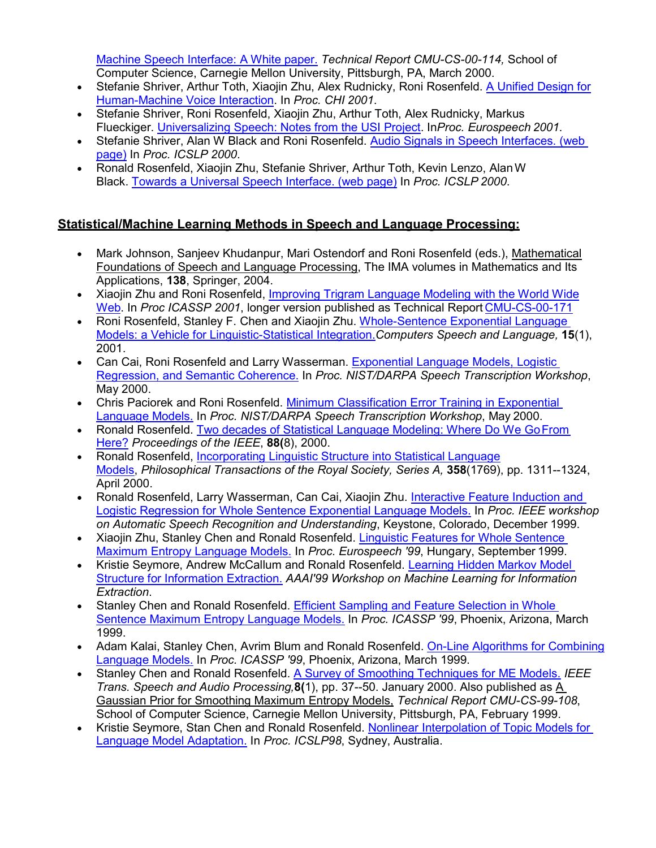[Machine Speech Interface: A White paper.](http://cs.cmu.edu/%7Eroni/papers/USI-TR-00-114.pdf) *Technical Report CMU-CS-00-114,* School of Computer Science, Carnegie Mellon University, Pittsburgh, PA, March 2000.

- Stefanie Shriver, Arthur Toth, Xiaojin Zhu, Alex Rudnicky, Roni Rosenfeld. [A Unified Design for](http://www.cs.cmu.edu/%7Eroni/papers/CHI01.pdf) [Human-Machine Voice Interaction.](http://www.cs.cmu.edu/%7Eroni/papers/CHI01.pdf) In *Proc. CHI 2001*.
- Stefanie Shriver, Roni Rosenfeld, Xiaojin Zhu, Arthur Toth, Alex Rudnicky, Markus Flueckiger. [Universalizing Speech: Notes from the USI Project.](http://www.cs.cmu.edu/%7Eroni/papers/ES01.pdf) In*Proc. Eurospeech 2001*.
- Stefanie Shriver, Alan W Black and Roni Rosenfeld. [Audio Signals in Speech Interfaces. \(web](http://www.cs.cmu.edu/%7Eawb/papers/ICSLP2000_audmark/audiomarking.html) [page\)](http://www.cs.cmu.edu/%7Eawb/papers/ICSLP2000_audmark/audiomarking.html) In *Proc. ICSLP 2000*.
- Ronald Rosenfeld, Xiaojin Zhu, Stefanie Shriver, Arthur Toth, Kevin Lenzo, AlanW Black. [Towards a Universal Speech Interface. \(web page\)](http://www.cs.cmu.edu/%7Eawb/papers/ICSLP2000_usi/usi.html) In *Proc. ICSLP 2000*.

## **Statistical/Machine Learning Methods in Speech and Language Processing:**

- Mark Johnson, Sanjeev Khudanpur, Mari Ostendorf and Roni Rosenfeld (eds.), Mathematical Foundations of Speech and Language Processing, The IMA volumes in Mathematics and Its Applications, **138**, Springer, 2004.
- Xiaojin Zhu and Roni Rosenfeld, [Improving Trigram Language Modeling with the World Wide](http://cs.cmu.edu/%7Eroni/papers/ZhuRosenfeld01.pdf) [Web.](http://cs.cmu.edu/%7Eroni/papers/ZhuRosenfeld01.pdf) In *Proc ICASSP 2001*, longer version published as Technical Report [CMU-CS-00-171](http://www.cs.cmu.edu/%7Eroni/papers/CMU-CS-00-171.pdf)
- Roni Rosenfeld, Stanley F. Chen and Xiaojin Zhu. [Whole-Sentence Exponential Language](http://www.cs.cmu.edu/%7Eroni/papers/wsme-csl-00.pdf) [Models: a Vehicle for Linguistic-Statistical Integration.](http://www.cs.cmu.edu/%7Eroni/papers/wsme-csl-00.pdf)*Computers Speech and Language,* **15**(1), 2001.
- Can Cai, Roni Rosenfeld and Larry Wasserman. [Exponential Language Models, Logistic](http://www.cs.cmu.edu/%7Eroni/papers/wsme-coherence-LVCSR-0005.pdf) [Regression, and Semantic Coherence.](http://www.cs.cmu.edu/%7Eroni/papers/wsme-coherence-LVCSR-0005.pdf) In *Proc. NIST/DARPA Speech Transcription Workshop*, May 2000.
- Chris Paciorek and Roni Rosenfeld. [Minimum Classification Error Training in Exponential](http://www.cs.cmu.edu/%7Eroni/papers/wsme-mce-LVCSR-0005.pdf) [Language Models.](http://www.cs.cmu.edu/%7Eroni/papers/wsme-mce-LVCSR-0005.pdf) In *Proc. NIST/DARPA Speech Transcription Workshop*, May 2000.
- Ronald Rosenfeld. [Two decades of Statistical Language Modeling: Where Do We GoFrom](http://www.cs.cmu.edu/%7Eroni/papers/survey-slm-IEEE-PROC-0004.pdf) [Here?](http://www.cs.cmu.edu/%7Eroni/papers/survey-slm-IEEE-PROC-0004.pdf) *Proceedings of the IEEE*, **88(**8), 2000.
- Ronald Rosenfeld, [Incorporating Linguistic Structure into Statistical](http://www.cs.cmu.edu/%7Eroni/papers/ILSiSLM-Royal-Soc.pdf) Language [Models,](http://www.cs.cmu.edu/%7Eroni/papers/ILSiSLM-Royal-Soc.pdf) *Philosophical Transactions of the Royal Society, Series A,* **358**(1769), pp. 1311--1324, April 2000.
- Ronald Rosenfeld, Larry Wasserman, Can Cai, Xiaojin Zhu. [Interactive Feature Induction and](http://www.cs.cmu.edu/%7Eroni/papers/wsme-logreg-IEEE-ASRU-9912.pdf) [Logistic Regression for Whole Sentence Exponential Language Models.](http://www.cs.cmu.edu/%7Eroni/papers/wsme-logreg-IEEE-ASRU-9912.pdf) In *Proc. IEEE workshop on Automatic Speech Recognition and Understanding*, Keystone, Colorado, December 1999.
- Xiaojin Zhu, Stanley Chen and Ronald Rosenfeld. [Linguistic Features for Whole Sentence](http://www.cs.cmu.edu/%7Eroni/papers/wsme-LingFeat-eurospeech-9909.pdf) [Maximum Entropy Language Models.](http://www.cs.cmu.edu/%7Eroni/papers/wsme-LingFeat-eurospeech-9909.pdf) In *Proc. Eurospeech '99*, Hungary, September 1999.
- Kristie Seymore, Andrew McCallum and Ronald Rosenfeld. [Learning Hidden Markov Model](http://www.cs.cmu.edu/%7Eroni/papers/iestruct-aaaiws99.pdf) [Structure for Information Extraction.](http://www.cs.cmu.edu/%7Eroni/papers/iestruct-aaaiws99.pdf) *AAAI'99 Workshop on Machine Learning for Information Extraction*.
- Stanley Chen and Ronald Rosenfeld. [Efficient Sampling and Feature Selection in Whole](http://www.cs.cmu.edu/%7Eroni/papers/wsme-sampling-icassp-9903.pdf) [Sentence Maximum Entropy Language Models.](http://www.cs.cmu.edu/%7Eroni/papers/wsme-sampling-icassp-9903.pdf) In *Proc. ICASSP '99*, Phoenix, Arizona, March 1999.
- Adam Kalai, Stanley Chen, Avrim Blum and Ronald Rosenfeld. [On-Line Algorithms for Combining](http://www.cs.cmu.edu/%7Eroni/papers/online-LM-icassp-9903.pdf) [Language Models.](http://www.cs.cmu.edu/%7Eroni/papers/online-LM-icassp-9903.pdf) In *Proc. ICASSP '99*, Phoenix, Arizona, March 1999.
- Stanley Chen and Ronald Rosenfeld. [A Survey of Smoothing Techniques for ME Models.](http://www.cs.cmu.edu/%7Eroni/papers/ChenRosenfeld99a.pdf) *IEEE Trans. Speech and Audio Processing,***8(**1), pp. 37--50. January 2000. Also published as A Gaussian Prior for Smoothing Maximum Entropy Models, *Technical Report CMU-CS-99-108*, School of Computer Science, Carnegie Mellon University, Pittsburgh, PA, February 1999.
- Kristie Seymore, Stan Chen and Ronald Rosenfeld. [Nonlinear Interpolation of Topic Models for](http://www.cs.cmu.edu/%7Eroni/papers/nonlinear-topic-icslp-98.pdf) [Language Model Adaptation.](http://www.cs.cmu.edu/%7Eroni/papers/nonlinear-topic-icslp-98.pdf) In *Proc. ICSLP98*, Sydney, Australia.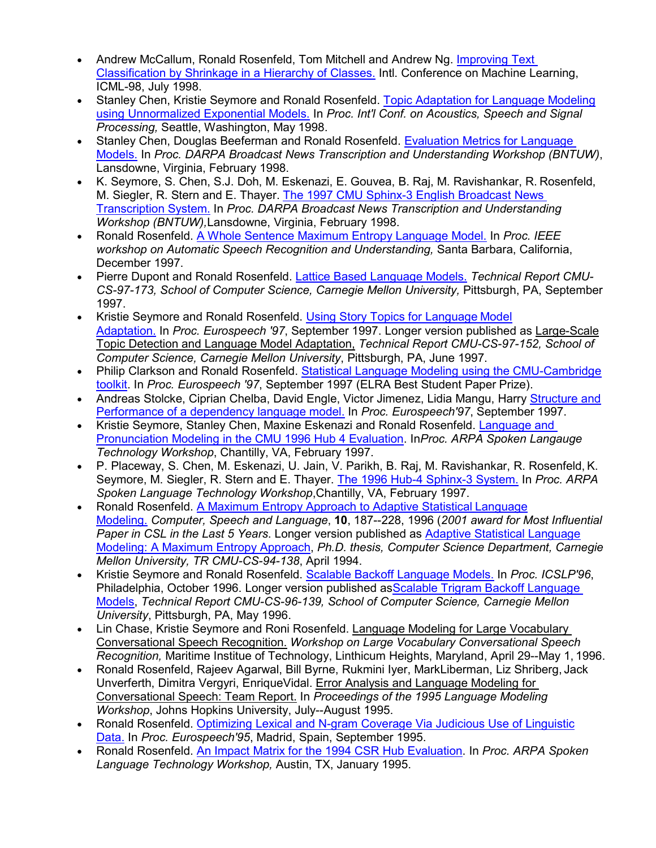- Andrew McCallum, Ronald Rosenfeld, Tom Mitchell and Andrew Ng. [Improving Text](http://www.cs.cmu.edu/%7Eroni/papers/hier-icml98.pdf) [Classification by Shrinkage in a Hierarchy of Classes.](http://www.cs.cmu.edu/%7Eroni/papers/hier-icml98.pdf) Intl. Conference on Machine Learning, ICML-98, July 1998.
- Stanley Chen, Kristie Seymore and Ronald Rosenfeld. [Topic Adaptation for Language Modeling](http://www.cs.cmu.edu/%7Eroni/papers/topic-icassp98.pdf) [using Unnormalized Exponential Models.](http://www.cs.cmu.edu/%7Eroni/papers/topic-icassp98.pdf) In *Proc. Int'l Conf. on Acoustics, Speech and Signal Processing,* Seattle, Washington, May 1998.
- Stanley Chen, Douglas Beeferman and Ronald Rosenfeld. [Evaluation Metrics for Language](http://www.cs.cmu.edu/%7Eroni/papers/eval-metrics-bntuw-9802.pdf) [Models.](http://www.cs.cmu.edu/%7Eroni/papers/eval-metrics-bntuw-9802.pdf) In *Proc. DARPA Broadcast News Transcription and Understanding Workshop (BNTUW)*, Lansdowne, Virginia, February 1998.
- K. Seymore, S. Chen, S.J. Doh, M. Eskenazi, E. Gouvea, B. Raj, M. Ravishankar, R. Rosenfeld, M. Siegler, R. Stern and E. Thayer. [The 1997 CMU Sphinx-3 English Broadcast News](http://cs.cmu.edu/%7Eroni/papers/Seymoreetal98.pdf) [Transcription System.](http://cs.cmu.edu/%7Eroni/papers/Seymoreetal98.pdf) In *Proc. DARPA Broadcast News Transcription and Understanding Workshop (BNTUW),*Lansdowne, Virginia, February 1998.
- Ronald Rosenfeld. [A Whole Sentence Maximum Entropy Language Model.](http://www.cs.cmu.edu/%7Eroni/papers/wsme-intro-IEEE-ASRU-9712.pdf) In *Proc. IEEE workshop on Automatic Speech Recognition and Understanding,* Santa Barbara, California, December 1997.
- Pierre Dupont and Ronald Rosenfeld. [Lattice Based Language Models.](http://www.cs.cmu.edu/%7Eroni/papers/lattice-TR-97-173.pdf) *Technical Report CMU-CS-97-173, School of Computer Science, Carnegie Mellon University,* Pittsburgh, PA, September 1997.
- Kristie Seymore and Ronald Rosenfeld. [Using Story Topics for Language](http://www.cs.cmu.edu/%7Eroni/papers/story-topic-eurospeech-97.pdf) Model [Adaptation.](http://www.cs.cmu.edu/%7Eroni/papers/story-topic-eurospeech-97.pdf) In *Proc. Eurospeech '97*, September 1997. Longer version published as Large-Scale Topic Detection and Language Model Adaptation, *Technical Report CMU-CS-97-152, School of Computer Science, Carnegie Mellon University*, Pittsburgh, PA, June 1997.
- Philip Clarkson and Ronald Rosenfeld. [Statistical Language Modeling using the CMU-Cambridge](http://www.cs.cmu.edu/%7Eroni/papers/SLM-TK-V2-eurospeech-97.pdf) [toolkit.](http://www.cs.cmu.edu/%7Eroni/papers/SLM-TK-V2-eurospeech-97.pdf) In *Proc. Eurospeech '97*, September 1997 (ELRA Best Student Paper Prize).
- Andreas Stolcke, Ciprian Chelba, David Engle, Victor Jimenez, Lidia Mangu, Harry [Structure and](http://www.cs.cmu.edu/%7Eroni/papers/dependency-LM-eurospeech-97.pdf) [Performance of a dependency language model.](http://www.cs.cmu.edu/%7Eroni/papers/dependency-LM-eurospeech-97.pdf) In *Proc. Eurospeech'97*, September 1997.
- Kristie Seymore, Stanley Chen, Maxine Eskenazi and Ronald Rosenfeld. [Language and](http://www.cs.cmu.edu/%7Eroni/papers/SeymoreChenEskenaziRosenfeld97.pdf) [Pronunciation Modeling in the CMU 1996 Hub 4 Evaluation.](http://www.cs.cmu.edu/%7Eroni/papers/SeymoreChenEskenaziRosenfeld97.pdf) In*Proc. ARPA Spoken Langauge Technology Workshop*, Chantilly, VA, February 1997.
- P. Placeway, S. Chen, M. Eskenazi, U. Jain, V. Parikh, B. Raj, M. Ravishankar, R. Rosenfeld, K. Seymore, M. Siegler, R. Stern and E. Thayer. [The 1996 Hub-4 Sphinx-3 System.](http://www.cs.cmu.edu/%7Eroni/papers/Placewayetal97.pdf) In *Proc. ARPA Spoken Language Technology Workshop*,Chantilly, VA, February 1997.
- Ronald Rosenfeld. [A Maximum Entropy Approach to Adaptive Statistical](http://www.cs.cmu.edu/%7Eroni/papers/me-csl-revised.pdf) Language [Modeling.](http://www.cs.cmu.edu/%7Eroni/papers/me-csl-revised.pdf) *Computer, Speech and Language*, **10**, 187--228, 1996 (*2001 award for Most Influential Paper in CSL in the Last 5 Years*. Longer version published as [Adaptive Statistical Language](http://www.cs.cmu.edu/%7Eroni/papers/me-thesis-TR-94-138.pdf) [Modeling: A Maximum Entropy Approach,](http://www.cs.cmu.edu/%7Eroni/papers/me-thesis-TR-94-138.pdf) *Ph.D. thesis, Computer Science Department, Carnegie Mellon University, TR CMU-CS-94-138*, April 1994.
- Kristie Seymore and Ronald Rosenfeld. [Scalable Backoff Language Models.](http://www.cs.cmu.edu/%7Eroni/papers/scalable-icslp-96.pdf) In *Proc. ICSLP'96*, Philadelphia, October 1996. Longer version published as Scalable Trigram Backoff Language [Models,](http://www.cs.cmu.edu/%7Eroni/papers/scalable-TR-96-139.pdf) *Technical Report CMU-CS-96-139, School of Computer Science, Carnegie Mellon University*, Pittsburgh, PA, May 1996.
- Lin Chase, Kristie Seymore and Roni Rosenfeld. Language Modeling for Large Vocabulary Conversational Speech Recognition. *Workshop on Large Vocabulary Conversational Speech Recognition,* Maritime Institue of Technology, Linthicum Heights, Maryland, April 29--May 1, 1996.
- Ronald Rosenfeld, Rajeev Agarwal, Bill Byrne, Rukmini Iyer, MarkLiberman, Liz Shriberg, Jack Unverferth, Dimitra Vergyri, EnriqueVidal. Error Analysis and Language Modeling for Conversational Speech: Team Report. In *Proceedings of the 1995 Language Modeling Workshop*, Johns Hopkins University, July--August 1995.
- Ronald Rosenfeld. [Optimizing Lexical and N-gram Coverage Via Judicious Use of Linguistic](http://www.cs.cmu.edu/%7Eroni/papers/vocov-eurospeech-95.pdf) [Data.](http://www.cs.cmu.edu/%7Eroni/papers/vocov-eurospeech-95.pdf) In *Proc. Eurospeech'95*, Madrid, Spain, September 1995.
- Ronald Rosenfeld. [An Impact Matrix for the 1994 CSR Hub Evaluation.](http://www.cs.cmu.edu/%7Eroni/papers/impact-matrix-SLT95.pdf) In *Proc. ARPA Spoken Language Technology Workshop,* Austin, TX, January 1995.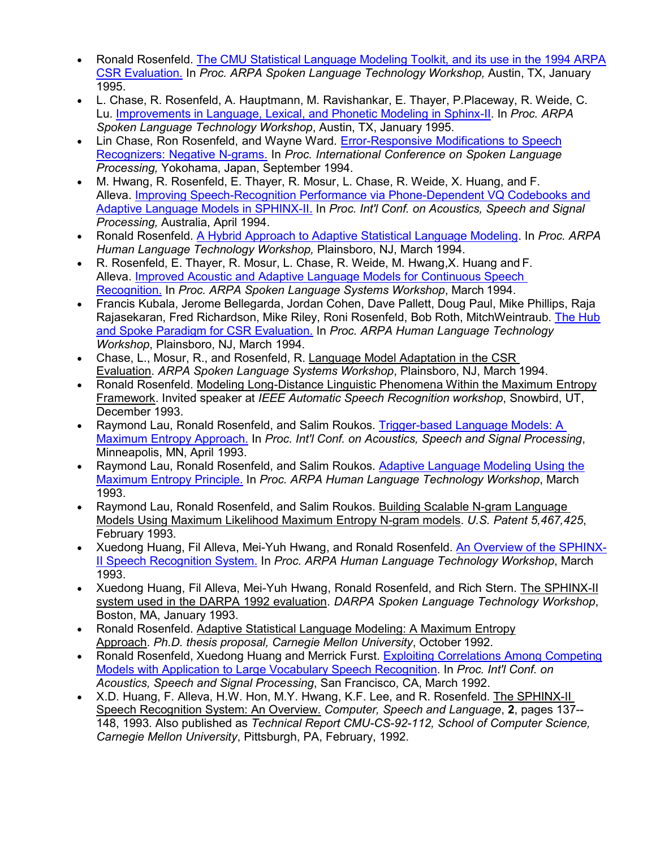- Ronald Rosenfeld. [The CMU Statistical Language Modeling Toolkit, and its use in the 1994 ARPA](http://www.cs.cmu.edu/%7Eroni/papers/SLM-TK-V1-SLT95.pdf) [CSR Evaluation.](http://www.cs.cmu.edu/%7Eroni/papers/SLM-TK-V1-SLT95.pdf) In *Proc. ARPA Spoken Language Technology Workshop,* Austin, TX, January 1995.
- L. Chase, R. Rosenfeld, A. Hauptmann, M. Ravishankar, E. Thayer, P.Placeway, R. Weide, C. Lu. [Improvements in Language, Lexical, and Phonetic Modeling in Sphinx-II.](http://cs.cmu.edu/%7Eroni/papers/ChaseEtAl95.pdf) In *Proc. ARPA Spoken Language Technology Workshop*, Austin, TX, January 1995.
- Lin Chase, Ron Rosenfeld, and Wayne Ward. [Error-Responsive Modifications to Speech](http://cs.cmu.edu/%7Eroni/papers/ChaseRosenfeldWard94.pdf) [Recognizers: Negative N-grams.](http://cs.cmu.edu/%7Eroni/papers/ChaseRosenfeldWard94.pdf) In *Proc. International Conference on Spoken Language Processing,* Yokohama, Japan, September 1994.
- M. Hwang, R. Rosenfeld, E. Thayer, R. Mosur, L. Chase, R. Weide, X. Huang, and F. Alleva. [Improving Speech-Recognition Performance via Phone-Dependent VQ Codebooks and](http://www.cs.cmu.edu/%7Eroni/papers/Hwangetal94.pdf) [Adaptive Language Models in SPHINX-II.](http://www.cs.cmu.edu/%7Eroni/papers/Hwangetal94.pdf) In *Proc. Int'l Conf. on Acoustics, Speech and Signal Processing,* Australia, April 1994.
- Ronald Rosenfeld. [A Hybrid Approach to Adaptive Statistical Language Modeling.](http://www.cs.cmu.edu/%7Eroni/papers/Rosenfeld94.pdf) In *Proc. ARPA Human Language Technology Workshop,* Plainsboro, NJ, March 1994.
- R. Rosenfeld, E. Thayer, R. Mosur, L. Chase, R. Weide, M. Hwang,X. Huang and F. Alleva. [Improved Acoustic and Adaptive Language Models for Continuous Speech](http://cs.cmu.edu/%7Eroni/papers/RosenfeldEtAl94.pdf) [Recognition.](http://cs.cmu.edu/%7Eroni/papers/RosenfeldEtAl94.pdf) In *Proc. ARPA Spoken Language Systems Workshop*, March 1994.
- Francis Kubala, Jerome Bellegarda, Jordan Cohen, Dave Pallett, Doug Paul, Mike Phillips, Raja Rajasekaran, Fred Richardson, Mike Riley, Roni Rosenfeld, Bob Roth, MitchWeintraub. [The Hub](http://www.cs.cmu.edu/%7Eroni/papers/Kubalaetal94.pdf) [and Spoke Paradigm for CSR Evaluation.](http://www.cs.cmu.edu/%7Eroni/papers/Kubalaetal94.pdf) In *Proc. ARPA Human Language Technology Workshop*, Plainsboro, NJ, March 1994.
- Chase, L., Mosur, R., and Rosenfeld, R. Language Model Adaptation in the CSR Evaluation. *ARPA Spoken Language Systems Workshop*, Plainsboro, NJ, March 1994.
- Ronald Rosenfeld. Modeling Long-Distance Linguistic Phenomena Within the Maximum Entropy Framework. Invited speaker at *IEEE Automatic Speech Recognition workshop*, Snowbird, UT, December 1993.
- Raymond Lau, Ronald Rosenfeld, and Salim Roukos. [Trigger-based Language Models: A](http://cs.cmu.edu/%7Eroni/papers/LauRosenfeldRoukos93.pdf) [Maximum Entropy Approach.](http://cs.cmu.edu/%7Eroni/papers/LauRosenfeldRoukos93.pdf) In *Proc. Int'l Conf. on Acoustics, Speech and Signal Processing*, Minneapolis, MN, April 1993.
- Raymond Lau, Ronald Rosenfeld, and Salim Roukos. [Adaptive Language Modeling Using the](http://www.cs.cmu.edu/%7Eroni/papers/LauRosenfeldRoukos93.pdf) [Maximum Entropy Principle.](http://www.cs.cmu.edu/%7Eroni/papers/LauRosenfeldRoukos93.pdf) In *Proc. ARPA Human Language Technology Workshop*, March 1993.
- Raymond Lau, Ronald Rosenfeld, and Salim Roukos. Building Scalable N-gram Language Models Using Maximum Likelihood Maximum Entropy N-gram models. *U.S. Patent 5,467,425*, February 1993.
- Xuedong Huang, Fil Alleva, Mei-Yuh Hwang, and Ronald Rosenfeld. [An Overview of the SPHINX-](http://www.cs.cmu.edu/%7Eroni/papers/HuangAllevaHwangRosenfeld93.pdf)[II Speech Recognition System.](http://www.cs.cmu.edu/%7Eroni/papers/HuangAllevaHwangRosenfeld93.pdf) In *Proc. ARPA Human Language Technology Workshop*, March 1993.
- Xuedong Huang, Fil Alleva, Mei-Yuh Hwang, Ronald Rosenfeld, and Rich Stern. The SPHINX-II system used in the DARPA 1992 evaluation. *DARPA Spoken Language Technology Workshop*, Boston, MA, January 1993.
- Ronald Rosenfeld. Adaptive Statistical Language Modeling: A Maximum Entropy Approach. *Ph.D. thesis proposal, Carnegie Mellon University*, October 1992.
- Ronald Rosenfeld, Xuedong Huang and Merrick Furst. [Exploiting Correlations Among Competing](http://cs.cmu.edu/%7Eroni/papers/RosenfeldHuangFurst92.pdf) [Models with Application to Large Vocabulary Speech Recognition.](http://cs.cmu.edu/%7Eroni/papers/RosenfeldHuangFurst92.pdf) In *Proc. Int'l Conf. on Acoustics, Speech and Signal Processing*, San Francisco, CA, March 1992.
- X.D. Huang, F. Alleva, H.W. Hon, M.Y. Hwang, K.F. Lee, and R. Rosenfeld. The SPHINX-II Speech Recognition System: An Overview. *Computer, Speech and Language*, **2**, pages 137-- 148, 1993. Also published as *Technical Report CMU-CS-92-112, School of Computer Science, Carnegie Mellon University*, Pittsburgh, PA, February, 1992.